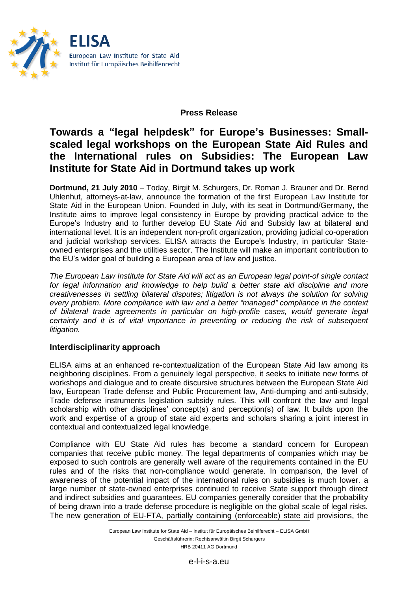

### **Press Release**

# **Towards a "legal helpdesk" for Europe's Businesses: Smallscaled legal workshops on the European State Aid Rules and the International rules on Subsidies: The European Law Institute for State Aid in Dortmund takes up work**

**Dortmund, 21 July 2010** - Today, Birgit M. Schurgers, Dr. Roman J. Brauner and Dr. Bernd Uhlenhut, attorneys-at-law, announce the formation of the first European Law Institute for State Aid in the European Union. Founded in July, with its seat in Dortmund/Germany, the Institute aims to improve legal consistency in Europe by providing practical advice to the Europe's Industry and to further develop EU State Aid and Subsidy law at bilateral and international level. It is an independent non-profit organization, providing judicial co-operation and judicial workshop services. ELISA attracts the Europe's Industry, in particular Stateowned enterprises and the utilities sector. The Institute will make an important contribution to the EU's wider goal of building a European area of law and justice.

*The European Law Institute for State Aid will act as an European legal point-of single contact*  for legal information and knowledge to help build a better state aid discipline and more *creativenesses in settling bilateral disputes; litigation is not always the solution for solving every problem. More compliance with law and a better "managed" compliance in the context of bilateral trade agreements in particular on high-profile cases, would generate legal certainty and it is of vital importance in preventing or reducing the risk of subsequent litigation.*

#### **Interdisciplinarity approach**

ELISA aims at an enhanced re-contextualization of the European State Aid law among its neighboring disciplines. From a genuinely legal perspective, it seeks to initiate new forms of workshops and dialogue and to create discursive structures between the European State Aid law, European Trade defense and Public Procurement law, Anti-dumping and anti-subsidy, Trade defense instruments legislation subsidy rules. This will confront the law and legal scholarship with other disciplines' concept(s) and perception(s) of law. It builds upon the work and expertise of a group of state aid experts and scholars sharing a joint interest in contextual and contextualized legal knowledge.

Compliance with EU State Aid rules has become a standard concern for European companies that receive public money. The legal departments of companies which may be exposed to such controls are generally well aware of the requirements contained in the EU rules and of the risks that non-compliance would generate. In comparison, the level of awareness of the potential impact of the international rules on subsidies is much lower. a large number of state-owned enterprises continued to receive State support through direct and indirect subsidies and guarantees. EU companies generally consider that the probability of being drawn into a trade defense procedure is negligible on the global scale of legal risks. The new generation of EU-FTA, partially containing (enforceable) state aid provisions, the

> European Law Institute for State Aid – Institut für Europäisches Beihilferecht – ELISA GmbH Geschäftsführerin: Rechtsanwältin Birgit Schurgers HRB 20411 AG Dortmund

> > e-l-i-s-a.eu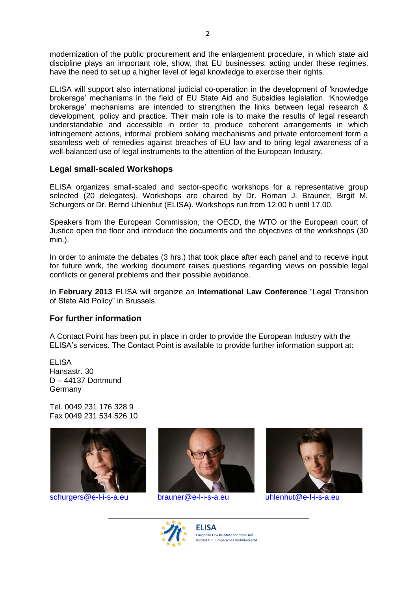modernization of the public procurement and the enlargement procedure, in which state aid discipline plays an important role, show, that EU businesses, acting under these regimes, have the need to set up a higher level of legal knowledge to exercise their rights.

ELISA will support also international judicial co-operation in the development of 'knowledge brokerage' mechanisms in the field of EU State Aid and Subsidies legislation. 'Knowledge brokerage' mechanisms are intended to strengthen the links between legal research & development, policy and practice. Their main role is to make the results of legal research understandable and accessible in order to produce coherent arrangements in which infringement actions, informal problem solving mechanisms and private enforcement form a seamless web of remedies against breaches of EU law and to bring legal awareness of a well-balanced use of legal instruments to the attention of the European Industry.

## **Legal small-scaled Workshops**

ELISA organizes small-scaled and sector-specific workshops for a representative group selected (20 delegates). Workshops are chaired by Dr. Roman J. Brauner, Birgit M. Schurgers or Dr. Bernd Uhlenhut (ELISA). Workshops run from 12.00 h until 17.00.

Speakers from the European Commission, the OECD, the WTO or the European court of Justice open the floor and introduce the documents and the objectives of the workshops (30 min.).

In order to animate the debates (3 hrs.) that took place after each panel and to receive input for future work, the working document raises questions regarding views on possible legal conflicts or general problems and their possible avoidance.

In **February 2013** ELISA will organize an **International Law Conference** "Legal Transition of State Aid Policy" in Brussels.

#### **For further information**

A Contact Point has been put in place in order to provide the European Industry with the ELISA's services. The Contact Point is available to provide further information support at:

**FLISA** Hansastr. 30 D – 44137 Dortmund Germany

Tel. 0049 231 176 328 9 Fax 0049 231 534 526 10







**ELISA E**uropean **L**aw **I**nstitute for **S**tate **A**id Institut für Europäisches Beihilfenrecht